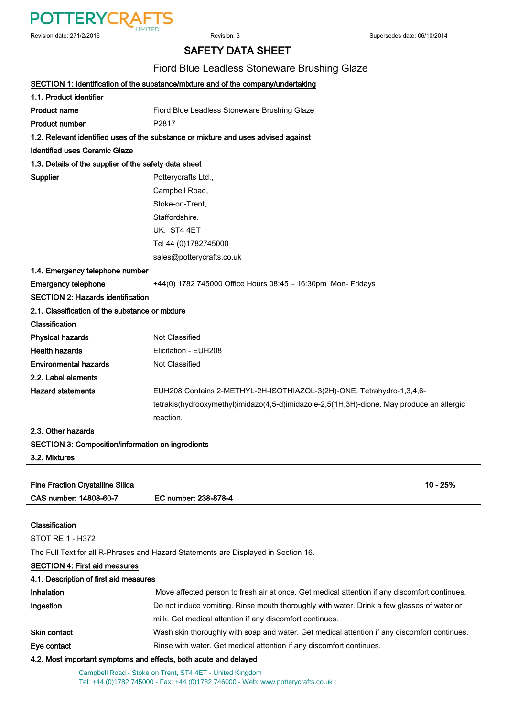

### SAFETY DATA SHEET

#### Fiord Blue Leadless Stoneware Brushing Glaze

|                                                                  | SECTION 1: Identification of the substance/mixture and of the company/undertaking             |  |
|------------------------------------------------------------------|-----------------------------------------------------------------------------------------------|--|
| 1.1. Product identifier                                          |                                                                                               |  |
| <b>Product name</b>                                              | Fiord Blue Leadless Stoneware Brushing Glaze                                                  |  |
| <b>Product number</b>                                            | P2817                                                                                         |  |
|                                                                  | 1.2. Relevant identified uses of the substance or mixture and uses advised against            |  |
| <b>Identified uses Ceramic Glaze</b>                             |                                                                                               |  |
| 1.3. Details of the supplier of the safety data sheet            |                                                                                               |  |
| <b>Supplier</b>                                                  | Potterycrafts Ltd.,                                                                           |  |
|                                                                  | Campbell Road,                                                                                |  |
|                                                                  | Stoke-on-Trent,                                                                               |  |
|                                                                  | Staffordshire.                                                                                |  |
|                                                                  | UK. ST4 4ET                                                                                   |  |
|                                                                  | Tel 44 (0)1782745000                                                                          |  |
|                                                                  | sales@potterycrafts.co.uk                                                                     |  |
| 1.4. Emergency telephone number                                  |                                                                                               |  |
| <b>Emergency telephone</b>                                       | +44(0) 1782 745000 Office Hours 08:45 - 16:30pm Mon- Fridays                                  |  |
| <b>SECTION 2: Hazards identification</b>                         |                                                                                               |  |
| 2.1. Classification of the substance or mixture                  |                                                                                               |  |
| Classification                                                   |                                                                                               |  |
| <b>Physical hazards</b>                                          | Not Classified                                                                                |  |
| <b>Health hazards</b>                                            | Elicitation - EUH208                                                                          |  |
| <b>Environmental hazards</b>                                     | Not Classified                                                                                |  |
| 2.2. Label elements                                              |                                                                                               |  |
| <b>Hazard statements</b>                                         | EUH208 Contains 2-METHYL-2H-ISOTHIAZOL-3(2H)-ONE, Tetrahydro-1,3,4,6-                         |  |
|                                                                  | tetrakis(hydrooxymethyl)imidazo(4,5-d)imidazole-2,5(1H,3H)-dione. May produce an allergic     |  |
|                                                                  | reaction.                                                                                     |  |
| 2.3. Other hazards                                               |                                                                                               |  |
| <b>SECTION 3: Composition/information on ingredients</b>         |                                                                                               |  |
| 3.2. Mixtures                                                    |                                                                                               |  |
|                                                                  |                                                                                               |  |
| <b>Fine Fraction Crystalline Silica</b>                          | 10 - 25%                                                                                      |  |
| CAS number: 14808-60-7                                           | EC number: 238-878-4                                                                          |  |
|                                                                  |                                                                                               |  |
| Classification                                                   |                                                                                               |  |
| STOT RE 1 - H372                                                 |                                                                                               |  |
|                                                                  | The Full Text for all R-Phrases and Hazard Statements are Displayed in Section 16.            |  |
| <b>SECTION 4: First aid measures</b>                             |                                                                                               |  |
| 4.1. Description of first aid measures                           |                                                                                               |  |
| Inhalation                                                       | Move affected person to fresh air at once. Get medical attention if any discomfort continues. |  |
| Ingestion                                                        | Do not induce vomiting. Rinse mouth thoroughly with water. Drink a few glasses of water or    |  |
|                                                                  | milk. Get medical attention if any discomfort continues.                                      |  |
| <b>Skin contact</b>                                              | Wash skin thoroughly with soap and water. Get medical attention if any discomfort continues.  |  |
| Eye contact                                                      | Rinse with water. Get medical attention if any discomfort continues.                          |  |
| 4.2. Most important symptoms and effects, both acute and delayed |                                                                                               |  |
|                                                                  | Campbell Road - Stoke on Trent, ST4 4ET - United Kingdom                                      |  |

Tel: +44 (0)1782 745000 - Fax: +44 (0)1782 746000 - Web: www.potterycrafts.co.uk ;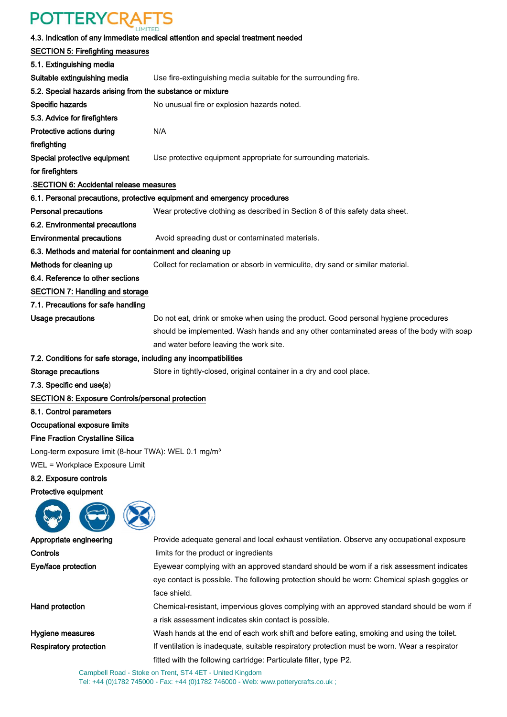# **POTTERYCRAFTS**

|                                                                   | 4.3. Indication of any immediate medical attention and special treatment needed               |  |  |
|-------------------------------------------------------------------|-----------------------------------------------------------------------------------------------|--|--|
| <b>SECTION 5: Firefighting measures</b>                           |                                                                                               |  |  |
| 5.1. Extinguishing media                                          |                                                                                               |  |  |
| Suitable extinguishing media                                      | Use fire-extinguishing media suitable for the surrounding fire.                               |  |  |
| 5.2. Special hazards arising from the substance or mixture        |                                                                                               |  |  |
| Specific hazards                                                  | No unusual fire or explosion hazards noted.                                                   |  |  |
| 5.3. Advice for firefighters                                      |                                                                                               |  |  |
| Protective actions during                                         | N/A                                                                                           |  |  |
| firefighting                                                      |                                                                                               |  |  |
| Special protective equipment                                      | Use protective equipment appropriate for surrounding materials.                               |  |  |
| for firefighters                                                  |                                                                                               |  |  |
| SECTION 6: Accidental release measures                            |                                                                                               |  |  |
|                                                                   | 6.1. Personal precautions, protective equipment and emergency procedures                      |  |  |
| <b>Personal precautions</b>                                       | Wear protective clothing as described in Section 8 of this safety data sheet.                 |  |  |
| 6.2. Environmental precautions                                    |                                                                                               |  |  |
| <b>Environmental precautions</b>                                  | Avoid spreading dust or contaminated materials.                                               |  |  |
| 6.3. Methods and material for containment and cleaning up         |                                                                                               |  |  |
| Methods for cleaning up                                           | Collect for reclamation or absorb in vermiculite, dry sand or similar material.               |  |  |
| 6.4. Reference to other sections                                  |                                                                                               |  |  |
| <b>SECTION 7: Handling and storage</b>                            |                                                                                               |  |  |
| 7.1. Precautions for safe handling                                |                                                                                               |  |  |
| <b>Usage precautions</b>                                          | Do not eat, drink or smoke when using the product. Good personal hygiene procedures           |  |  |
|                                                                   | should be implemented. Wash hands and any other contaminated areas of the body with soap      |  |  |
|                                                                   | and water before leaving the work site.                                                       |  |  |
| 7.2. Conditions for safe storage, including any incompatibilities |                                                                                               |  |  |
|                                                                   |                                                                                               |  |  |
| Storage precautions                                               | Store in tightly-closed, original container in a dry and cool place.                          |  |  |
| 7.3. Specific end use(s)                                          |                                                                                               |  |  |
| <b>SECTION 8: Exposure Controls/personal protection</b>           |                                                                                               |  |  |
| 8.1. Control parameters                                           |                                                                                               |  |  |
| Occupational exposure limits                                      |                                                                                               |  |  |
| <b>Fine Fraction Crystalline Silica</b>                           |                                                                                               |  |  |
| Long-term exposure limit (8-hour TWA): WEL 0.1 mg/m <sup>3</sup>  |                                                                                               |  |  |
| WEL = Workplace Exposure Limit                                    |                                                                                               |  |  |
| 8.2. Exposure controls                                            |                                                                                               |  |  |
| Protective equipment                                              |                                                                                               |  |  |
|                                                                   |                                                                                               |  |  |
| Appropriate engineering                                           | Provide adequate general and local exhaust ventilation. Observe any occupational exposure     |  |  |
| Controls                                                          | limits for the product or ingredients                                                         |  |  |
| Eye/face protection                                               | Eyewear complying with an approved standard should be worn if a risk assessment indicates     |  |  |
|                                                                   | eye contact is possible. The following protection should be worn: Chemical splash goggles or  |  |  |
|                                                                   | face shield.                                                                                  |  |  |
| Hand protection                                                   | Chemical-resistant, impervious gloves complying with an approved standard should be worn if   |  |  |
|                                                                   | a risk assessment indicates skin contact is possible.                                         |  |  |
| Hygiene measures                                                  | Wash hands at the end of each work shift and before eating, smoking and using the toilet.     |  |  |
| <b>Respiratory protection</b>                                     | If ventilation is inadequate, suitable respiratory protection must be worn. Wear a respirator |  |  |
|                                                                   | fitted with the following cartridge: Particulate filter, type P2.                             |  |  |

Tel: +44 (0)1782 745000 - Fax: +44 (0)1782 746000 - Web: www.potterycrafts.co.uk ;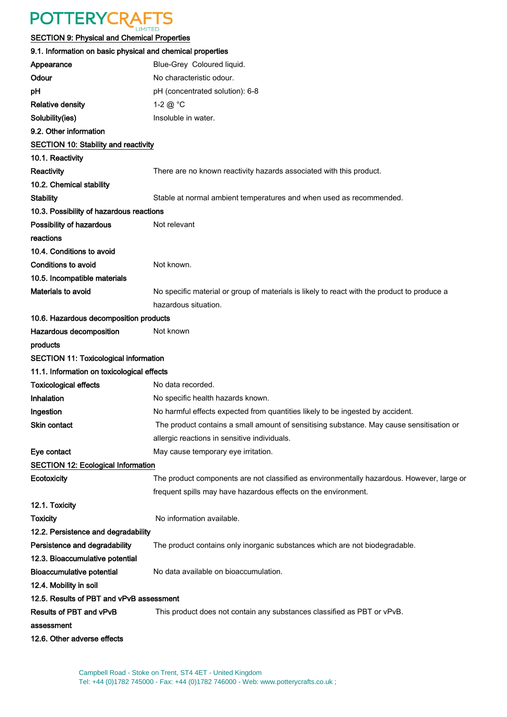## **POTTERYCRAFTS**

#### SECTION 9: Physical and Chemical Properties

| 9.1. Information on basic physical and chemical properties |                                                                                             |
|------------------------------------------------------------|---------------------------------------------------------------------------------------------|
| Appearance                                                 | Blue-Grey Coloured liquid.                                                                  |
| Odour                                                      | No characteristic odour.                                                                    |
| рH                                                         | pH (concentrated solution): 6-8                                                             |
| <b>Relative density</b>                                    | 1-2 $@$ °C                                                                                  |
| Solubility(ies)                                            | Insoluble in water.                                                                         |
| 9.2. Other information                                     |                                                                                             |
| <b>SECTION 10: Stability and reactivity</b>                |                                                                                             |
| 10.1. Reactivity                                           |                                                                                             |
| Reactivity                                                 | There are no known reactivity hazards associated with this product.                         |
| 10.2. Chemical stability                                   |                                                                                             |
| <b>Stability</b>                                           | Stable at normal ambient temperatures and when used as recommended.                         |
| 10.3. Possibility of hazardous reactions                   |                                                                                             |
| Possibility of hazardous                                   | Not relevant                                                                                |
| reactions                                                  |                                                                                             |
| 10.4. Conditions to avoid                                  |                                                                                             |
| <b>Conditions to avoid</b>                                 | Not known.                                                                                  |
| 10.5. Incompatible materials                               |                                                                                             |
| Materials to avoid                                         | No specific material or group of materials is likely to react with the product to produce a |
|                                                            | hazardous situation.                                                                        |
| 10.6. Hazardous decomposition products                     |                                                                                             |
| Hazardous decomposition                                    | Not known                                                                                   |
| products                                                   |                                                                                             |
| <b>SECTION 11: Toxicological information</b>               |                                                                                             |
| 11.1. Information on toxicological effects                 |                                                                                             |
| <b>Toxicological effects</b>                               | No data recorded.                                                                           |
| Inhalation                                                 | No specific health hazards known.                                                           |
| Ingestion                                                  | No harmful effects expected from quantities likely to be ingested by accident.              |
| Skin contact                                               | The product contains a small amount of sensitising substance. May cause sensitisation or    |
|                                                            | allergic reactions in sensitive individuals.                                                |
| Eye contact                                                | May cause temporary eye irritation.                                                         |
| <b>SECTION 12: Ecological Information</b>                  |                                                                                             |
| Ecotoxicity                                                | The product components are not classified as environmentally hazardous. However, large or   |
|                                                            | frequent spills may have hazardous effects on the environment.                              |
| 12.1. Toxicity                                             |                                                                                             |
| Toxicity                                                   | No information available.                                                                   |
| 12.2. Persistence and degradability                        |                                                                                             |
| Persistence and degradability                              | The product contains only inorganic substances which are not biodegradable.                 |
| 12.3. Bioaccumulative potential                            |                                                                                             |
| <b>Bioaccumulative potential</b>                           | No data available on bioaccumulation.                                                       |
| 12.4. Mobility in soil                                     |                                                                                             |
| 12.5. Results of PBT and vPvB assessment                   |                                                                                             |
| Results of PBT and vPvB                                    | This product does not contain any substances classified as PBT or vPvB.                     |
| assessment                                                 |                                                                                             |
| 12.6. Other adverse effects                                |                                                                                             |